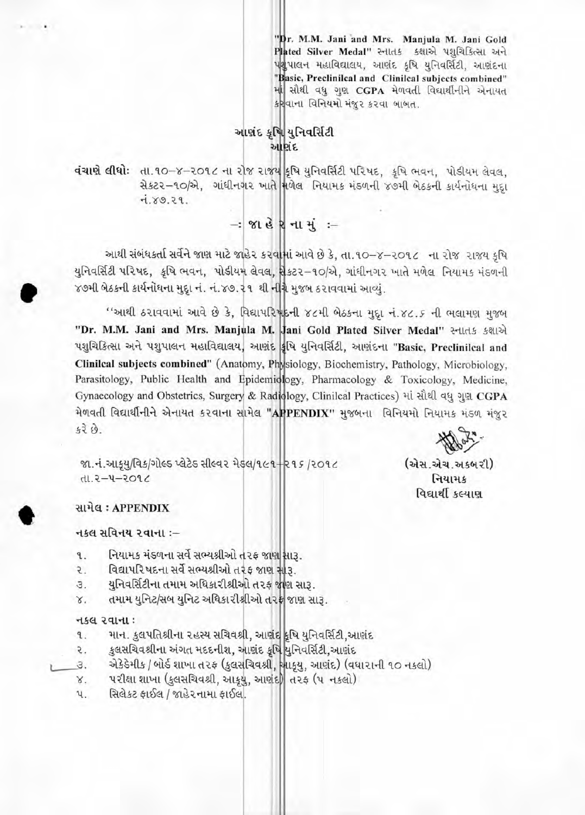"Dr. M.M. Jani and Mrs. Manjula M. Jani Gold Plated Silver Medal" સ્નાતક કક્ષાએ પશુચિકિત્સા અને પશુપાલન મહાવિદ્યાલય, આણંદ કૃષિ યુનિવર્સિટી, આણંદના "Basic, Preclinilcal and Clinilcal subjects combined" માં સૌથી વધુ ગુણ CGPA મેળવતી વિદ્યાર્થીનીને એનાયત કર્ણવાના વિનિયમો મંજુર કરવા બાબત.

## આશંદ કૃષિ યુનિવર્સિટી આશંદ

daun ellei: dl.90-8-2096 ના રોજ રાજ્ય કૃષિ યુનિવર્સિટી પરિષદ, કૃષિ ભવન, પોડીયમ લેવલ, સેકટર-૧૦/એ, ગાંધીનગર ખાતે મળેલ નિયામક મંડળની ૪૭મી બેઠકની કાર્યનોધના મદા  $7.89.29.$ 

 $-$ : જાહેરનામું :-

આથી સંબંધકર્તા સર્વેને જાણ માટે જાહેર કરવામાં આવે છે કે, તા.૧૦-૪-૨૦૧૮ ના રોજ રાજય કૃષિ યુનિવર્સિટી પરિષદ, કૃષિ ભવન, પોડીયમ લેવલ, શેકટર-૧૦/એ, ગાંધીનગર ખાતે મળેલ નિયામક મંડળની ૪૭મી બેઠકની કાર્યનોઘના મુદ્દા નં. નં.૪૭.૨૧ થી નીંગ્રે મુજબ ઠરાવવામાં આવ્યું.

''આથી ઠરાવવામાં આવે છે કે, વિદ્યાપરિષદની ૪૮મી બેઠકના મુદ્દા નં.૪૮.૬ ની ભલામણ મુજબ "Dr. M.M. Jani and Mrs. Manjula M. Jani Gold Plated Silver Medal" સ્નાતક કક્ષાએ પશુચિકિત્સા અને પશુપાલન મહાવિદ્યાલય, આણંદ કૃષિ યુનિવર્સિટી, આણંદના "Basic, Preclinilcal and Clinilcal subjects combined" (Anatomy, Physiology, Biochemistry, Pathology, Microbiology, Parasitology, Public Health and Epidemiology, Pharmacology & Toxicology, Medicine, Gynaecology and Obstetrics, Surgery & Radiology, Clinilcal Practices) માં સૌથી વધુ ગુણ CGPA મેળવતી વિદ્યાર્થીનીને એનાયત કરવાના સામેલ "APPENDIX" મુજબના વિનિયમો નિયામક મંડળ મંજુર  $520.$ 

જા.નં.આકૂયુ/વિક/ગોલ્ડ પ્લેટેડ સીલ્વર મેડલ/૧૯૧+૨૧૬ /૨૦૧૮ 1.2-4-2096

(એસ.એચ.અકબરી) નિયામક વિદ્યાર્થી કલ્યાણ

## સામેલ: APPENDIX

### નકલ સવિનય ૨વાના :–

- નિયામક મંડળના સર્વે સભ્યશ્રીઓ તરફ જાણ સારૂ. ٩.
- વિદ્યાપરિષદના સર્વે સભ્યશ્રીઓ તરફ જાણ સારૂ. 2.
- યુનિવર્સિટીના તમામ અધિકારીશ્રીઓ તરફ જાણ સારૂ. З.
- તમામ યુનિટ/સબ યુનિટ અધિકારીશ્રીઓ તરફ જાણ સારૂ.  $\times$

#### નકલ રવાના:

- માન. કુલપતિશ્રીના રહસ્ય સચિવશ્રી, આણંદ દૃષિ યુનિવર્સિટી,આણંદ 9.
- કુલસચિવશ્રીના અંગત મદદનીશ, આણંદ કૃષિ યુનિવર્સિટી,આણંદ 2.
- એકેડેમીક / બોર્ડ શાખા તરફ (કુલસચિવશ્રી, ખાકુયુ, આણંદ) (વધારાની ૧૦ નકલો) З.
	- પરીક્ષા શાખા (કુલસચિવશ્રી, આક્રયુ, આર્ણદ) તરફ (૫ નકલો) Χ.
	- સિલેકટ ફાઈલ / જાહેરનામા ફાઈલ. પ.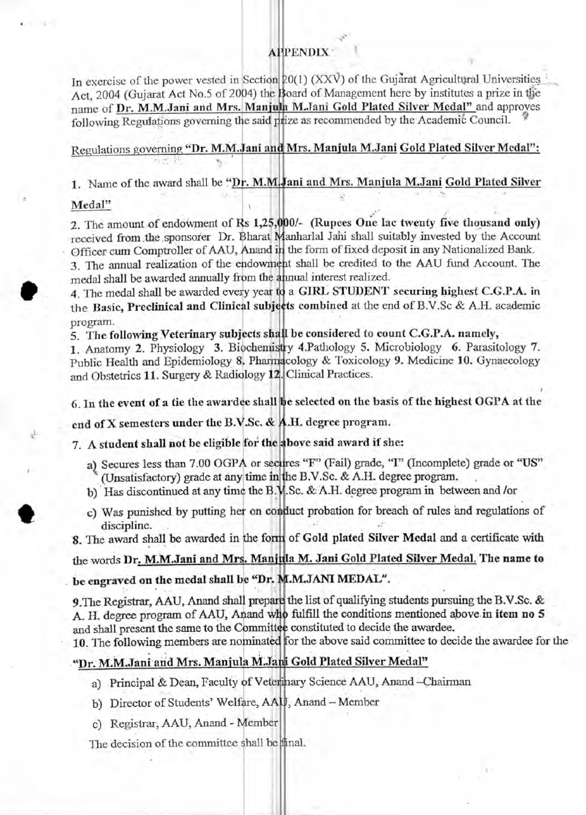## **APPENDIX**

In exercise of the power vested in Section  $20(1)$  (XXV) of the Gujarat Agricultural Universities Act, 2004 (Gujarat Act No.5 of 2004) the Board of Management here by institutes a prize in the name of Dr. M.M.Jani and Mrs. Manjula M.Jani Gold Plated Silver Medal" and approves following Regulations governing the said prize as recommended by the Academic Council.

## Regulations governing **"Dr. M.M.Jani** and Mrs. Manjula M.Jani Gold Plated Silver Medal":

1. Name of the award shall be "Dr. M.M. Jani and Mrs. Manjula M. Jani Gold Plated Silver

#### Medal"

**COMP** 

2. The amount of endowment of Rs 1,25,000/- (Rupees One lac twenty five thousand only) received from the sponsorer Dr. Bharat Manharlal Jani shall suitably invested by the Account Officer cum Comptroller of AAU, Anand in the form of fixed deposit in any Nationalized Bank. 3. The annual realization of the endowment shall be credited to the AAU fund Account. The medal shall be awarded annually from the annual interest realized.

4. The medal shall be awarded every year to a GIRL STUDENT securing highest C.G.P.A. in the Basic, Preclinical and Clinical subjects combined at the end of B.V.Sc & A.H. academic program.

5. The following Veterinary subjects shall be considered to count C.G.P.A. namely,

1. Anatomy 2. Physiology 3. Biochemistry 4.Pathology 5. Microbiology 6. Parasitology 7. Public Health and Epidemiology 8. Pharmacology & Toxicology 9. Medicine 10. Gynaecology and Obstetrics 11. Surgery & Radiology 12. Clinical Practices.

6. In the event of a tie the awardee shall be selected on the basis of the highest OGPA at the

end of X semesters under the B.V.Sc. & A.H. degree program.

7. A student shall not be **eligible for the above said award if she:** 

- a) Secures less than 7.00 OGPA or secures "F" (Fail) grade, "I" (Incomplete) grade or "US" (Unsatisfactory) grade at any time in the B.V.Sc. & A.H. degree program.
- b) Has discontinued at any time the B.N .Sc. & A.H. degree program in between and /or
- c) Was punished by putting her on conduct probation for breach of rules and regulations of discipline.

8. The award shall be awarded in the form of Gold plated Silver Medal and a certificate with

# the words Dr. M.M.Jani and Mrs. Manjula M. Jani Gold Plated Silver Medal. The name to

## be engraved on the medal shall be "Dr. M.M.JANI MEDAL".

**9.The Registrar, AAU, Anand** shall prepay the list of qualifying students pursuing the B.V.Sc. & A. H. degree program of AAU, Anand who fulfill the conditions mentioned above in item no 5 and shall present the same to the Committee constituted to decide the awardee.

10. The following members are nominated for the above said committee to decide the awardee for the

#### "Dr. M.M.Jani and Mrs. Manjula M.Jani Gold Plated Silver Medal"

- a) Principal & Dean, Faculty of Veterinary Science AAU, Anand-Chairman
- b) Director of Students' Welfare, AKJ, Anand Member
- c) Registrar, AAU, Anand Member

The decision of the committee shall be final.